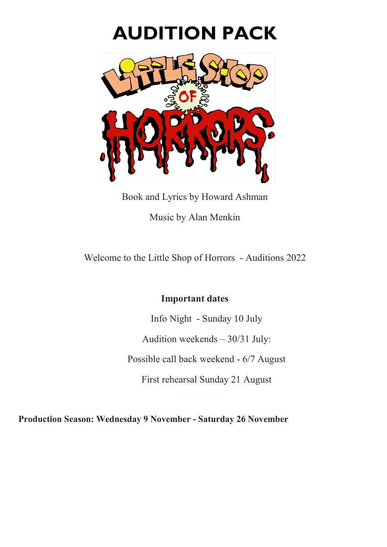# **AUDITION PACK**



Book and Lyrics by Howard Ashman Music by Alan Menkin

Welcome to the Little Shop of Horrors - Auditions 2022

# **Important dates**

Info Night - Sunday 10 July

Audition weekends – 30/31 July:

Possible call back weekend - 6/7 August

First rehearsal Sunday 21 August

**Production Season: Wednesday 9 November - Saturday 26 November**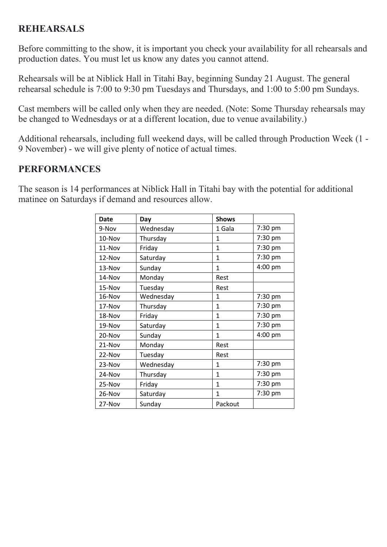# **REHEARSALS**

Before committing to the show, it is important you check your availability for all rehearsals and production dates. You must let us know any dates you cannot attend.

Rehearsals will be at Niblick Hall in Titahi Bay, beginning Sunday 21 August. The general rehearsal schedule is 7:00 to 9:30 pm Tuesdays and Thursdays, and 1:00 to 5:00 pm Sundays.

Cast members will be called only when they are needed. (Note: Some Thursday rehearsals may be changed to Wednesdays or at a different location, due to venue availability.)

Additional rehearsals, including full weekend days, will be called through Production Week (1 - 9 November) - we will give plenty of notice of actual times.

# **PERFORMANCES**

The season is 14 performances at Niblick Hall in Titahi bay with the potential for additional matinee on Saturdays if demand and resources allow.

| <b>Date</b> | Day       | <b>Shows</b> |         |
|-------------|-----------|--------------|---------|
| 9-Nov       | Wednesday | 1 Gala       | 7:30 pm |
| 10-Nov      | Thursday  | 1            | 7:30 pm |
| 11-Nov      | Friday    | $\mathbf{1}$ | 7:30 pm |
| 12-Nov      | Saturday  | $\mathbf{1}$ | 7:30 pm |
| 13-Nov      | Sunday    | 1            | 4:00 pm |
| 14-Nov      | Monday    | Rest         |         |
| 15-Nov      | Tuesday   | Rest         |         |
| 16-Nov      | Wednesday | $\mathbf{1}$ | 7:30 pm |
| 17-Nov      | Thursday  | $\mathbf{1}$ | 7:30 pm |
| 18-Nov      | Friday    | $\mathbf{1}$ | 7:30 pm |
| 19-Nov      | Saturday  | $\mathbf{1}$ | 7:30 pm |
| 20-Nov      | Sunday    | 1            | 4:00 pm |
| 21-Nov      | Monday    | Rest         |         |
| 22-Nov      | Tuesday   | Rest         |         |
| 23-Nov      | Wednesday | $\mathbf{1}$ | 7:30 pm |
| 24-Nov      | Thursday  | $\mathbf{1}$ | 7:30 pm |
| 25-Nov      | Friday    | $\mathbf{1}$ | 7:30 pm |
| 26-Nov      | Saturday  | $\mathbf{1}$ | 7:30 pm |
| 27-Nov      | Sunday    | Packout      |         |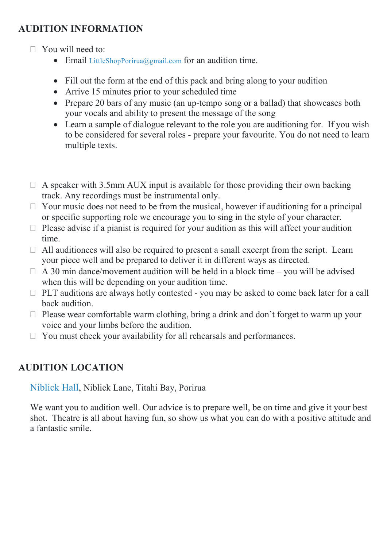# **AUDITION INFORMATION**

- $\Box$  You will need to:
	- Email [LittleShopPorirua@gmail.com](mailto:LittleShopPorirua@gmail.com) for an audition time.
	- Fill out the form at the end of this pack and bring along to your audition
	- Arrive 15 minutes prior to your scheduled time
	- Prepare 20 bars of any music (an up-tempo song or a ballad) that showcases both your vocals and ability to present the message of the song
	- Learn a sample of dialogue relevant to the role you are auditioning for. If you wish to be considered for several roles - prepare your favourite. You do not need to learn multiple texts.
- $\Box$  A speaker with 3.5mm AUX input is available for those providing their own backing track. Any recordings must be instrumental only.
- $\Box$  Your music does not need to be from the musical, however if auditioning for a principal or specific supporting role we encourage you to sing in the style of your character.
- $\Box$  Please advise if a pianist is required for your audition as this will affect your audition time.
- $\Box$  All auditionees will also be required to present a small excerpt from the script. Learn your piece well and be prepared to deliver it in different ways as directed.
- $\Box$  A 30 min dance/movement audition will be held in a block time you will be advised when this will be depending on your audition time.
- $\Box$  PLT auditions are always hotly contested you may be asked to come back later for a call back audition.
- $\Box$  Please wear comfortable warm clothing, bring a drink and don't forget to warm up your voice and your limbs before the audition.
- $\Box$  You must check your availability for all rehearsals and performances.

# **AUDITION LOCATION**

[Niblick Hall,](https://www.google.com/maps/place/Niblick+Hall/@-41.1081602,174.8369837,15z/data=!4m5!3m4!1s0x0:0x763852780f6eea28!8m2!3d-41.1081761!4d174.8369962) Niblick Lane, Titahi Bay, Porirua

We want you to audition well. Our advice is to prepare well, be on time and give it your best shot. Theatre is all about having fun, so show us what you can do with a positive attitude and a fantastic smile.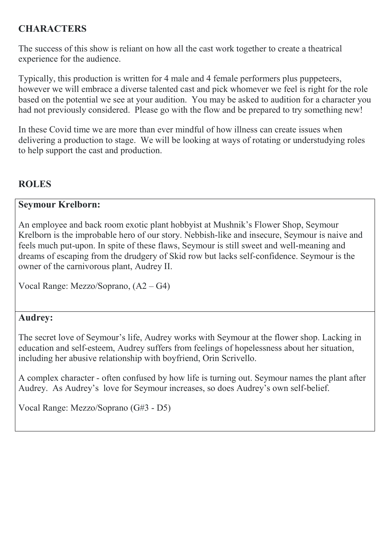# **CHARACTERS**

The success of this show is reliant on how all the cast work together to create a theatrical experience for the audience.

Typically, this production is written for 4 male and 4 female performers plus puppeteers, however we will embrace a diverse talented cast and pick whomever we feel is right for the role based on the potential we see at your audition. You may be asked to audition for a character you had not previously considered. Please go with the flow and be prepared to try something new!

In these Covid time we are more than ever mindful of how illness can create issues when delivering a production to stage. We will be looking at ways of rotating or understudying roles to help support the cast and production.

# **ROLES**

### **Seymour Krelborn:**

An employee and back room exotic plant hobbyist at Mushnik's Flower Shop, Seymour Krelborn is the improbable hero of our story. Nebbish-like and insecure, Seymour is naive and feels much put-upon. In spite of these flaws, Seymour is still sweet and well-meaning and dreams of escaping from the drudgery of Skid row but lacks self-confidence. Seymour is the owner of the carnivorous plant, Audrey II.

Vocal Range: Mezzo/Soprano, (A2 – G4)

# **Audrey:**

The secret love of Seymour's life, Audrey works with Seymour at the flower shop. Lacking in education and self-esteem, Audrey suffers from feelings of hopelessness about her situation, including her abusive relationship with boyfriend, Orin Scrivello.

A complex character - often confused by how life is turning out. Seymour names the plant after Audrey. As Audrey's love for Seymour increases, so does Audrey's own self-belief.

Vocal Range: Mezzo/Soprano (G#3 - D5)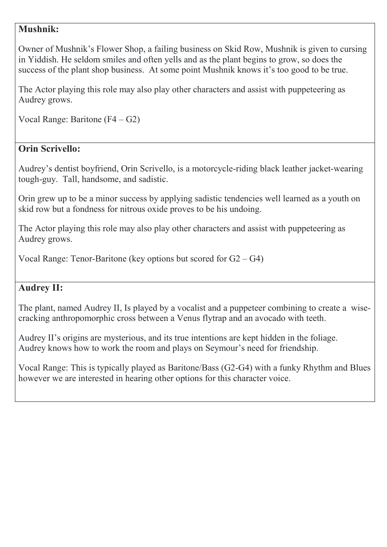# **Mushnik:**

Owner of Mushnik's Flower Shop, a failing business on Skid Row, Mushnik is given to cursing in Yiddish. He seldom smiles and often yells and as the plant begins to grow, so does the success of the plant shop business. At some point Mushnik knows it's too good to be true.

The Actor playing this role may also play other characters and assist with puppeteering as Audrey grows.

```
Vocal Range: Baritone (F4 – G2)
```
# **Orin Scrivello:**

Audrey's dentist boyfriend, Orin Scrivello, is a motorcycle-riding black leather jacket-wearing tough-guy. Tall, handsome, and sadistic.

Orin grew up to be a minor success by applying sadistic tendencies well learned as a youth on skid row but a fondness for nitrous oxide proves to be his undoing.

The Actor playing this role may also play other characters and assist with puppeteering as Audrey grows.

Vocal Range: Tenor-Baritone (key options but scored for  $G2 - G4$ )

# **Audrey II:**

The plant, named Audrey II, Is played by a vocalist and a puppeteer combining to create a wisecracking anthropomorphic cross between a Venus flytrap and an avocado with teeth.

Audrey II's origins are mysterious, and its true intentions are kept hidden in the foliage. Audrey knows how to work the room and plays on Seymour's need for friendship.

Vocal Range: This is typically played as Baritone/Bass (G2-G4) with a funky Rhythm and Blues however we are interested in hearing other options for this character voice.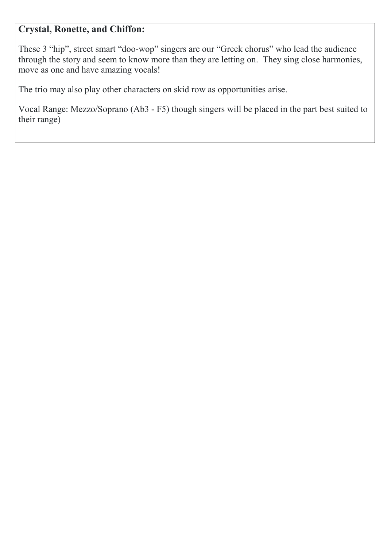# **Crystal, Ronette, and Chiffon:**

These 3 "hip", street smart "doo-wop" singers are our "Greek chorus" who lead the audience through the story and seem to know more than they are letting on. They sing close harmonies, move as one and have amazing vocals!

The trio may also play other characters on skid row as opportunities arise.

Vocal Range: Mezzo/Soprano (Ab3 - F5) though singers will be placed in the part best suited to their range)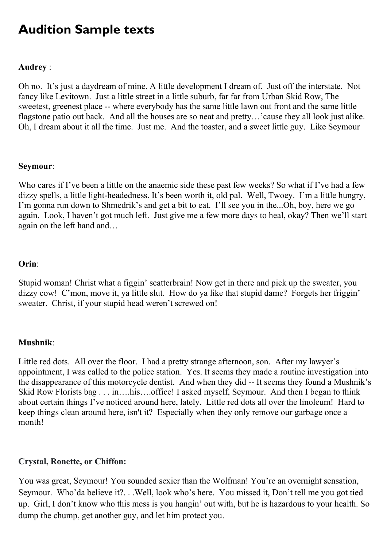# **Audition Sample texts**

#### **Audrey** :

Oh no. It's just a daydream of mine. A little development I dream of. Just off the interstate. Not fancy like Levitown. Just a little street in a little suburb, far far from Urban Skid Row, The sweetest, greenest place -- where everybody has the same little lawn out front and the same little flagstone patio out back. And all the houses are so neat and pretty…'cause they all look just alike. Oh, I dream about it all the time. Just me. And the toaster, and a sweet little guy. Like Seymour

#### **Seymour**:

Who cares if I've been a little on the anaemic side these past few weeks? So what if I've had a few dizzy spells, a little light-headedness. It's been worth it, old pal. Well, Twoey. I'm a little hungry, I'm gonna run down to Shmedrik's and get a bit to eat. I'll see you in the...Oh, boy, here we go again. Look, I haven't got much left. Just give me a few more days to heal, okay? Then we'll start again on the left hand and…

#### **Orin**:

Stupid woman! Christ what a figgin' scatterbrain! Now get in there and pick up the sweater, you dizzy cow! C'mon, move it, ya little slut. How do ya like that stupid dame? Forgets her friggin' sweater. Christ, if your stupid head weren't screwed on!

#### **Mushnik**:

Little red dots. All over the floor. I had a pretty strange afternoon, son. After my lawyer's appointment, I was called to the police station. Yes. It seems they made a routine investigation into the disappearance of this motorcycle dentist. And when they did -- It seems they found a Mushnik's Skid Row Florists bag . . . in….his….office! I asked myself, Seymour. And then I began to think about certain things I've noticed around here, lately. Little red dots all over the linoleum! Hard to keep things clean around here, isn't it? Especially when they only remove our garbage once a month!

#### **Crystal, Ronette, or Chiffon:**

You was great, Seymour! You sounded sexier than the Wolfman! You're an overnight sensation, Seymour. Who'da believe it?. . .Well, look who's here. You missed it, Don't tell me you got tied up. Girl, I don't know who this mess is you hangin' out with, but he is hazardous to your health. So dump the chump, get another guy, and let him protect you.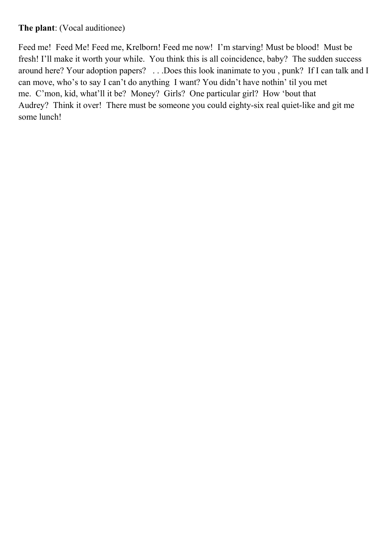## **The plant**: (Vocal auditionee)

Feed me! Feed Me! Feed me, Krelborn! Feed me now! I'm starving! Must be blood! Must be fresh! I'll make it worth your while. You think this is all coincidence, baby? The sudden success around here? Your adoption papers? . . .Does this look inanimate to you , punk? If I can talk and I can move, who's to say I can't do anything I want? You didn't have nothin' til you met me. C'mon, kid, what'll it be? Money? Girls? One particular girl? How 'bout that Audrey? Think it over! There must be someone you could eighty-six real quiet-like and git me some lunch!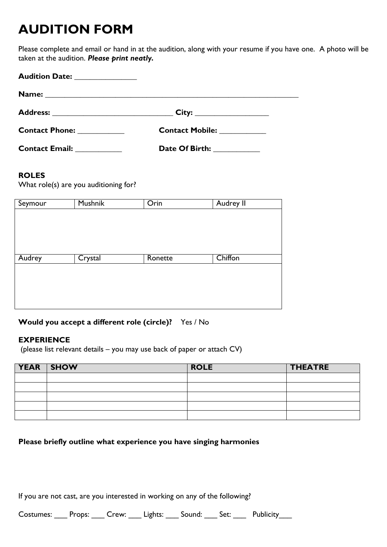# **AUDITION FORM**

Please complete and email or hand in at the audition, along with your resume if you have one. A photo will be taken at the audition. *Please print neatly.* 

| Audition Date: _______________            |                              |
|-------------------------------------------|------------------------------|
|                                           |                              |
|                                           |                              |
| <b>Contact Phone:</b> The Contact Phone:  | <b>Contact Mobile:</b>       |
| <b>Contact Email:</b> The Contract Email: | Date Of Birth: New York 1986 |

#### **ROLES**

What role(s) are you auditioning for?

| Seymour | Mushnik | Orin    | Audrey II |
|---------|---------|---------|-----------|
|         |         |         |           |
|         |         |         |           |
|         |         |         |           |
|         |         |         |           |
|         |         |         |           |
| Audrey  | Crystal | Ronette | Chiffon   |
|         |         |         |           |
|         |         |         |           |
|         |         |         |           |
|         |         |         |           |
|         |         |         |           |

#### **Would you accept a different role (circle)?** Yes / No

#### **EXPERIENCE**

(please list relevant details – you may use back of paper or attach CV)

| YEAR SHOW | <b>ROLE</b> | <b>THEATRE</b> |
|-----------|-------------|----------------|
|           |             |                |
|           |             |                |
|           |             |                |
|           |             |                |
|           |             |                |

#### **Please briefly outline what experience you have singing harmonies**

If you are not cast, are you interested in working on any of the following?

Costumes: Props: Crew: Lights: Sound: Set: Publicity